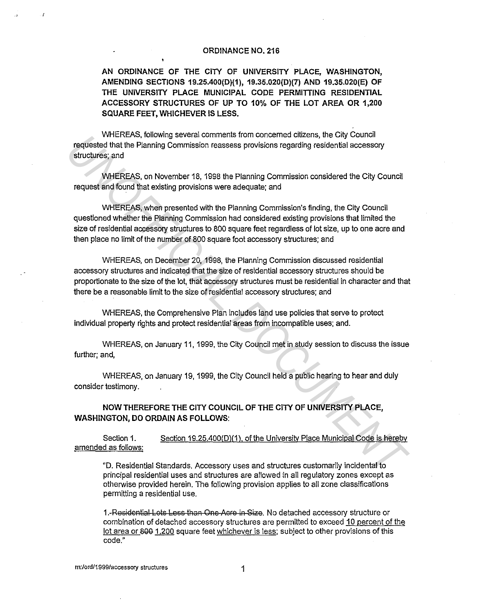## **ORDINANCE NO. 216**

**AN ORDINANCE OF THE CITY OF UNIVERSITY PLACE, WASHINGTON, AMENDING SECTIONS 19.25.400(D){1), 19.35.020(D)(7) AND 19.35.020(E) OF THE UNIVERSITY PLACE MUNICIPAL CODE PERMITTING RESIDENTIAL ACCESSORY STRUCTURES OF UP TO 10% OF THE LOT AREA OR 1,200 SQUARE FEET, WHICHEVER IS LESS.** 

WHEREAS, following several comments from concerned citizens, the City Council requested that the Planning Commission reassess provisions regarding residential accessory structures; and

WHEREAS, on November 18, 1998 the Planning Commission considered the City Council request and found that existing provisions were adequate; and

WHEREAS, when presented with the Planning Commission's finding, the City Council questioned whether the Planning Commission had considered existing provisions that limited the size of residential accessory structures to 800 square feet regardless of lot size, up to one acre and then place no limit of the number of 800 square foot accessory structures; and

WHEREAS, on December 20, 1998, the Planning Commission discussed residential accessory structures and indicated that the size of residential accessory structures should be proportionate to the size of the lot, that accessory structures must be residential in character and that there be a reasonable limit to the size of residential accessory structures; and verticular, Showlang Severia comments from concerned crazens, the Ury Council<br>Traduction of the United Panima Commission reasses provisions regarding residential accessory<br>
structures; and<br>
WHEREAS, on November 18, 1998 th

WHEREAS, the Comprehensive Plan includes land use policies that serve to protect individual property rights and protect residential areas from incompatible uses; and.

WHEREAS, on January 11, 1999, the City Council met in study session to discuss the issue further; and,

WHEREAS, on January 19, 1999, the City Council held a public hearing to hear and duly consider testimony.

**NOW THEREFORE THE CITY COUNCIL OF THE CITY OF UNIVERSITY PLACE, WASHINGTON, DO ORDAIN AS FOLLOWS:** 

Section 1. amended as follows: Section 19.25.400(D)(1), of the University Place Municipal Code is hereby

"D. Residential Standards. Accessory uses and structures customarily incidental to principal residential uses and structures are allowed in all regulatory zones except as otherwise provided herein. The following provision applies to all zone classifications permitting a residential use.

1. Residential Lots Less than One Acre in Size. No detached accessory structure or combination of detached accessory structures are permitted to exceed 10 percent of the lot area or 800 1.200 square feet whichever is less; subject to other provisions of this code."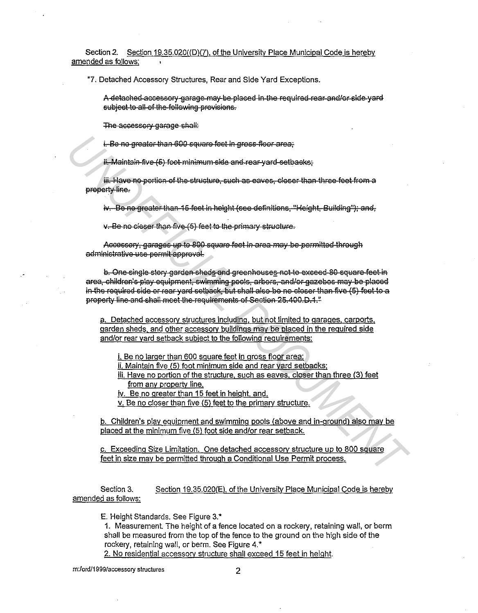Section 2. Section 19.35.020((D)(7), of the University Place Municipal Code is hereby amended as follows:

"7. Detached Accessory Structures, Rear and Side Yard Exceptions.

A detached accessory garage may be placed in the required rear and/or side yard subject to all of the following provisions.

The accessory garage shall:

i. Be no greater than 600 square feet in gross-floor area.

ii. Maintain five (5) foot minimum side and rear yard setbacks;

iii. Have no portion of the structure, such as eaves, closer than three feet from a property line.

iv. Be no greater than 15 feet in height (see definitions, "Height, Building"); and,

v. Be no closer than five (5) feet to the primary structure.

Accessory, garages up to 800 square feet in area may be permitted through administrative use permit approval.

b. One single story garden sheds and greenhouses not to exceed 80 square feet in area, children's play equipment, swimming pools, arbors, and/or gazebos may be placed in the required side or rear yard-setback, but shall also be no closer than five (5) feet to a property line and shall meet the requirements of Section 25.400.D.1."

a. Detached accessory structures including, but not limited to garages, carports, garden sheds, and other accessory buildings may be placed in the required side and/or rear yard setback subject to the following requirements:

i. Be no larger than 600 square feet in gross floor area;

ii. Maintain five (5) foot minimum side and rear vard setbacks:

iii. Have no portion of the structure, such as eaves, closer than three (3) feet from any property line.

iv. Be no greater than 15 feet in height, and.

v. Be no closer than five (5) feet to the primary structure.

b. Children's play equipment and swimming pools (above and in-ground) also may be placed at the minimum five (5) foot side and/or rear setback.

c. Exceeding Size Limitation. One detached accessory structure up to 800 square feet in size may be permitted through a Conditional Use Permit process.

Section 3. Section 19.35.020(E), of the University Place Municipal Code is hereby amended as follows:

E. Height Standards, See Figure 3.\*

1. Measurement. The height of a fence located on a rockery, retaining wall, or berm shall be measured from the top of the fence to the ground on the high side of the rockery, retaining wall, or berm. See Figure 4.\*

2. No residential accessory structure shall exceed 15 feet in height.